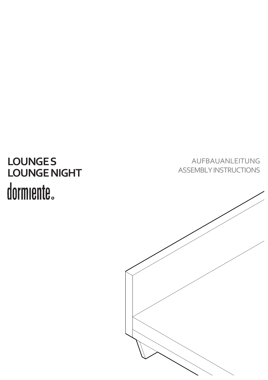# **LOUNGE S LOUNGE NIGHT**

AUFBAUANLEITUNG ASSEMBLY INSTRUCTIONS

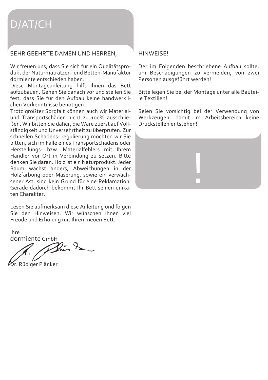## D/AT/CH

### SEHR GEEHRTE DAMEN UND HERREN,

Wir freuen uns, dass Sie sich für ein Qualitätsprodukt der Naturmatratzen- und Betten-Manufaktur dormiente entschieden haben.

Diese Montageanleitung hilft Ihnen das Bett aufzubauen. Gehen Sie danach vor und stellen Sie fest, dass Sie für den Aufbau keine handwerklichen Vorkenntnisse benötigen.

Trotz größter Sorgfalt können auch wir Materialund Transportschäden nicht zu 100% ausschließen. Wir bitten Sie daher, die Ware zuerst auf Vollständigkeit und Unversehrtheit zu überprüfen. Zur schnellen Schadens- regulierung möchten wir Sie bitten, sich im Falle eines Transportschadens oder Herstellungs- bzw. Materialfehlers mit Ihrem Händler vor Ort in Verbindung zu setzen. Bitte denken Sie daran: Holz ist ein Naturprodukt. Jeder Baum wächst anders, Abweichungen in der Holzfärbung oder Maserung, sowie ein verwachsener Ast, sind kein Grund für eine Reklamation. Gerade dadurch bekommt Ihr Bett seinen unikaten Charakter.

Lesen Sie aufmerksam diese Anleitung und folgen Sie den Hinweisen. Wir wünschen Ihnen viel Freude und Erholung mit Ihrem neuen Bett.

Ihre

dormiente GmbH<br>2. 2.

**Dr. Rüdiger Plänker** 

#### **HINWEISE!**

Der im Folgenden beschriebene Aufbau sollte, um Beschädigungen zu vermeiden, von zwei Personen ausgeführt werden!

Bitte legen Sie bei der Montage unter alle Bauteile Textilien!

Seien Sie vorsichtig bei der Verwendung von Werkzeugen, damit im Arbeitsbereich keine Druckstellen entstehen!

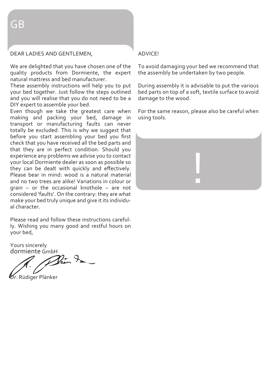## DEAR LADIES AND GENTLEMEN,

We are delighted that you have chosen one of the quality products from Dormiente, the expert natural mattress and bed manufacturer.

These assembly instructions will help you to put your bed together. Just follow the steps outlined and you will realise that you do not need to be a DIY expert to assemble your bed.

Even though we take the greatest care when making and packing your bed, damage in transport or manufacturing faults can never totally be excluded. This is why we suggest that before you start assembling your bed you first check that you have received all the bed parts and that they are in perfect condition. Should you experience any problems we advise you to contact your local Dormiente dealer as soon as possible so they can be dealt with quickly and effectively. Please bear in mind: wood is a natural material and no two trees are alike! Variations in colour or grain – or the occasional knothole – are not considered 'faults'. On the contrary: they are what make your bed truly unique and give it its individual character.

Please read and follow these instructions carefully. Wishing you many good and restful hours on your bed,

Yours sincerely dormiente GmbH

.<br>. Rüdiger Plänker

#### ADVICE!

To avoid damaging your bed we recommend that the assembly be undertaken by two people.

During assembly it is advisable to put the various bed parts on top of a soft, textile surface to avoid damage to the wood.

For the same reason, please also be careful when using tools.

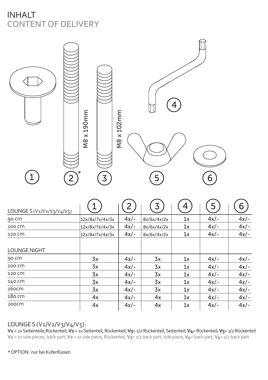## INHALT CONTENT OF DELIVERY



| LOUNGE S ( $V_1/V_2/V_3/V_4/V_5$ ) |                 |        | 3           | 4  | 5      | 6      |
|------------------------------------|-----------------|--------|-------------|----|--------|--------|
| 90 cm                              | 12x/8x/7x/4x/3x | $4x/-$ | 8x/6x/4x/2x | 1x | $4x/-$ | $4x/-$ |
| 100 CM                             | 12x/8x/7x/4x/3x | $4x/-$ | 8x/6x/4x/2x | 1x | $4x/-$ | $4x/-$ |
| 120 CM                             | 12x/8x/7x/4x/3x | $4x/-$ | 8x/6x/4x/2x | 1x | $4x/-$ | $4x/-$ |
| <b>LOUNGE NIGHT</b>                |                 |        |             |    |        |        |
| 90 CM                              | 3x              | $4x/-$ | 3x          | 1x | $4x/-$ | $4x/-$ |
| 100 CM                             | 3x              | $4x/-$ | 3x          | 1x | $4x/-$ | $4x/-$ |
| 120 CM                             | 3x              | $4x/-$ | 3x          | 1x | $4x/-$ | $4x/-$ |
| 140 CM                             | 3x              | $4x/-$ | 3x          | 1x | $4x/-$ | $4x/-$ |
| 16ocm                              | 3x              | $4x/-$ | 3x          | 1x | $4x/-$ | $4x/-$ |
| 180 cm                             | 4x              | $4x/-$ | 4x          | 1x | $4x/-$ | $4x/-$ |
| 200CM                              | 4x              | $4x/-$ | 4x          | 1x | $4x/-$ | $4x/-$ |

## LOUNGE S (V1/V2/V3/V4/V5):

**V1** = 2x Seitenteile,Rückenteil; **V2** = 1x Seitenteil, Rückenteil; **V3**= 1/2 Rückenteil, Seitenteil; **V4**= Rückenteil; **V5**= 1/2 Rückenteil **V1** = 2x side pieces, back part; **V2** = 1x side piece, Rückenteil; **V3**= 1/2 back part, side piece; **V4**= back part; **V4**= 1/2 back part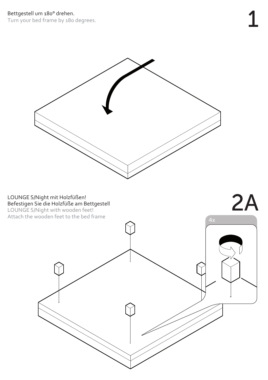Turn your bed frame by 180 degrees.

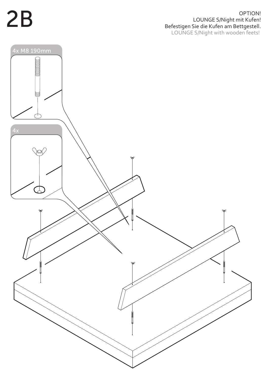## OPTION!<br>LOUNGE S/Night mit Kufen!<br>Befestigen Sie die Kufen am Bettgestell. LOUNGE S/Night mit Kufen! Befestigen Sie die Kufen am Bettgestell. LOUNGE S/Night with wooden feets!

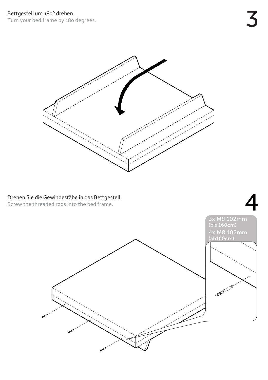Turn your bed frame by 180 degrees.

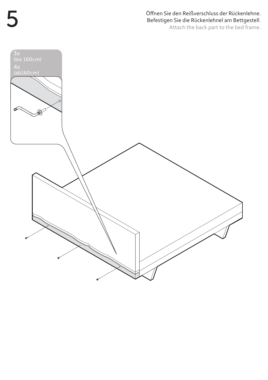Öffnen Sie den Reißverschluss der Rückenlehne. Befestigen Sie die Rückenlehnel am Bettgestell. Attach the back part to the bed frame.



5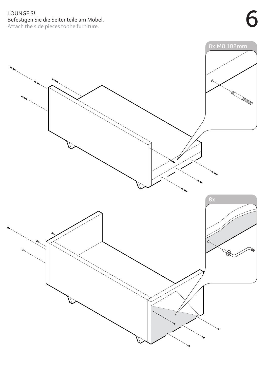## LOUNGE S! Befestigen Sie die Seitenteile am Möbel. Attach the side pieces to the furniture.

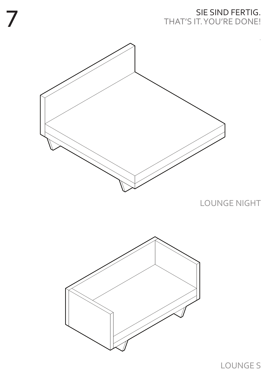## SIE SIND FERTIG. THAT'S IT. YOU'RE DONE!

.



7

LOUNGE NIGHT